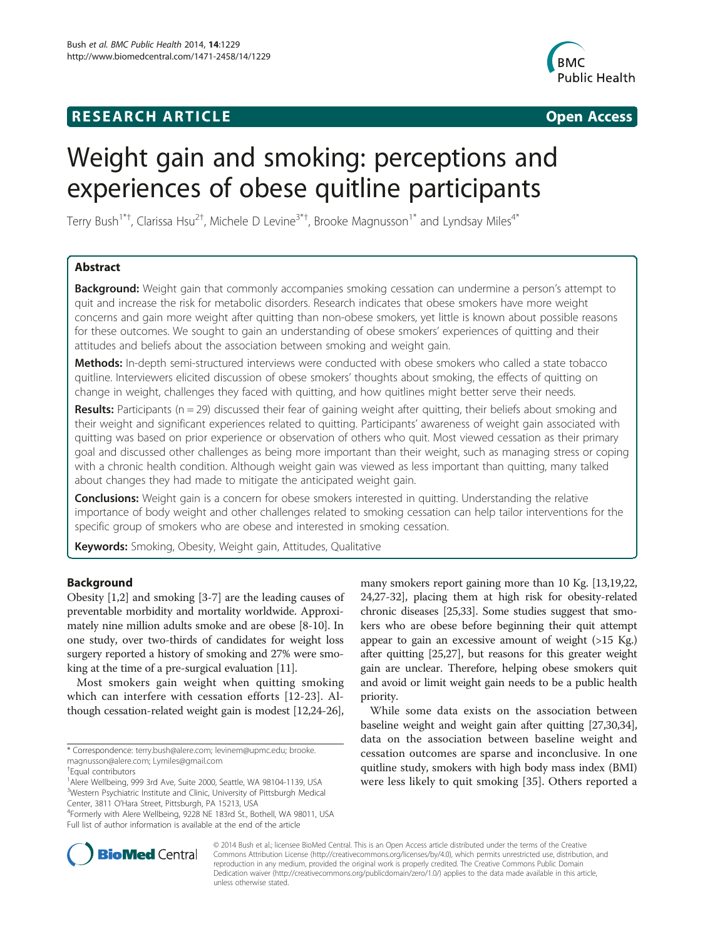## **RESEARCH ARTICLE Example 2014 CONSIDERING CONSIDERING CONSIDERING CONSIDERING CONSIDERING CONSIDERING CONSIDERING CONSIDERING CONSIDERING CONSIDERING CONSIDERING CONSIDERING CONSIDERING CONSIDERING CONSIDERING CONSIDE**



# Weight gain and smoking: perceptions and experiences of obese quitline participants

Terry Bush<sup>1\*†</sup>, Clarissa Hsu<sup>2†</sup>, Michele D Levine<sup>3\*†</sup>, Brooke Magnusson<sup>1\*</sup> and Lyndsay Miles<sup>4\*</sup>

## Abstract

**Background:** Weight gain that commonly accompanies smoking cessation can undermine a person's attempt to quit and increase the risk for metabolic disorders. Research indicates that obese smokers have more weight concerns and gain more weight after quitting than non-obese smokers, yet little is known about possible reasons for these outcomes. We sought to gain an understanding of obese smokers' experiences of quitting and their attitudes and beliefs about the association between smoking and weight gain.

Methods: In-depth semi-structured interviews were conducted with obese smokers who called a state tobacco quitline. Interviewers elicited discussion of obese smokers' thoughts about smoking, the effects of quitting on change in weight, challenges they faced with quitting, and how quitlines might better serve their needs.

**Results:** Participants ( $n = 29$ ) discussed their fear of gaining weight after quitting, their beliefs about smoking and their weight and significant experiences related to quitting. Participants' awareness of weight gain associated with quitting was based on prior experience or observation of others who quit. Most viewed cessation as their primary goal and discussed other challenges as being more important than their weight, such as managing stress or coping with a chronic health condition. Although weight gain was viewed as less important than quitting, many talked about changes they had made to mitigate the anticipated weight gain.

**Conclusions:** Weight gain is a concern for obese smokers interested in quitting. Understanding the relative importance of body weight and other challenges related to smoking cessation can help tailor interventions for the specific group of smokers who are obese and interested in smoking cessation.

Keywords: Smoking, Obesity, Weight gain, Attitudes, Qualitative

## Background

Obesity [[1,2\]](#page-7-0) and smoking [[3-7](#page-7-0)] are the leading causes of preventable morbidity and mortality worldwide. Approximately nine million adults smoke and are obese [[8-10\]](#page-7-0). In one study, over two-thirds of candidates for weight loss surgery reported a history of smoking and 27% were smoking at the time of a pre-surgical evaluation [\[11](#page-7-0)].

Most smokers gain weight when quitting smoking which can interfere with cessation efforts [[12-23\]](#page-7-0). Although cessation-related weight gain is modest [[12,24](#page-7-0)-[26](#page-7-0)], many smokers report gaining more than 10 Kg. [\[13,19,22](#page-7-0), [24,27](#page-7-0)-[32](#page-7-0)], placing them at high risk for obesity-related chronic diseases [\[25,33\]](#page-7-0). Some studies suggest that smokers who are obese before beginning their quit attempt appear to gain an excessive amount of weight (>15 Kg.) after quitting [\[25,27](#page-7-0)], but reasons for this greater weight gain are unclear. Therefore, helping obese smokers quit and avoid or limit weight gain needs to be a public health priority.

While some data exists on the association between baseline weight and weight gain after quitting [\[27,30,34](#page-7-0)], data on the association between baseline weight and cessation outcomes are sparse and inconclusive. In one quitline study, smokers with high body mass index (BMI) were less likely to quit smoking [[35\]](#page-7-0). Others reported a



© 2014 Bush et al.; licensee BioMed Central. This is an Open Access article distributed under the terms of the Creative Commons Attribution License [\(http://creativecommons.org/licenses/by/4.0\)](http://creativecommons.org/licenses/by/4.0), which permits unrestricted use, distribution, and reproduction in any medium, provided the original work is properly credited. The Creative Commons Public Domain Dedication waiver [\(http://creativecommons.org/publicdomain/zero/1.0/](http://creativecommons.org/publicdomain/zero/1.0/)) applies to the data made available in this article, unless otherwise stated.

<sup>\*</sup> Correspondence: [terry.bush@alere.com](mailto:terry.bush@alere.com); [levinem@upmc.edu](mailto:levinem@upmc.edu); [brooke.](mailto:brooke.magnusson@alere.com) [magnusson@alere.com;](mailto:brooke.magnusson@alere.com) [Lymiles@gmail.com](mailto:Lymiles@gmail.com) †

Equal contributors

<sup>&</sup>lt;sup>1</sup>Alere Wellbeing, 999 3rd Ave, Suite 2000, Seattle, WA 98104-1139, USA <sup>3</sup>Western Psychiatric Institute and Clinic, University of Pittsburgh Medical Center, 3811 O'Hara Street, Pittsburgh, PA 15213, USA <sup>4</sup>

<sup>&</sup>lt;sup>4</sup>Formerly with Alere Wellbeing, 9228 NE 183rd St., Bothell, WA 98011, USA Full list of author information is available at the end of the article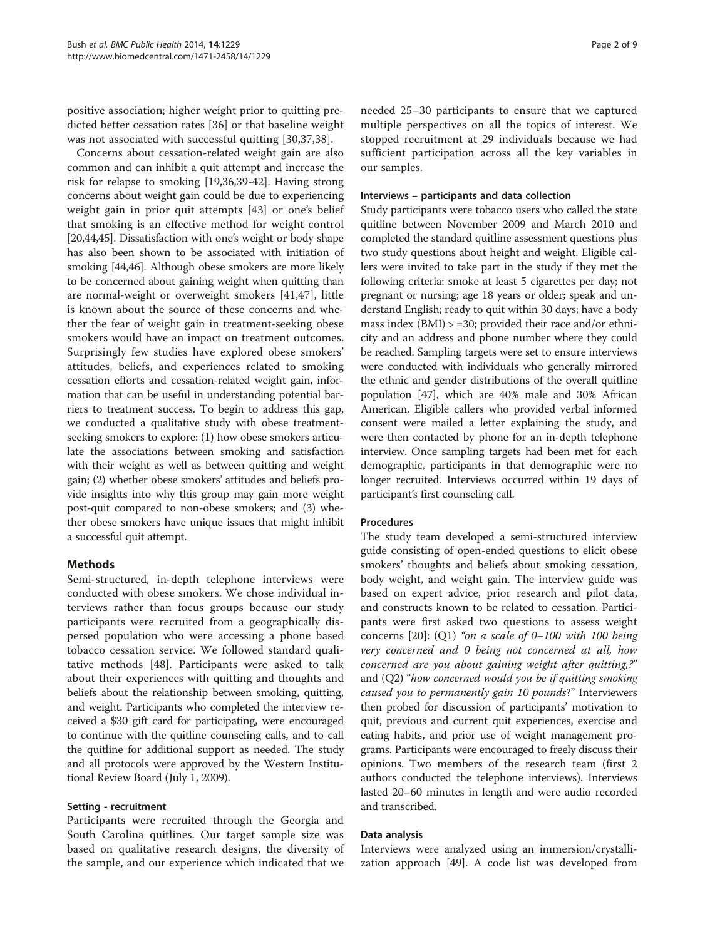positive association; higher weight prior to quitting predicted better cessation rates [\[36](#page-7-0)] or that baseline weight was not associated with successful quitting [[30,37,38](#page-7-0)].

Concerns about cessation-related weight gain are also common and can inhibit a quit attempt and increase the risk for relapse to smoking [[19,36,39-42](#page-7-0)]. Having strong concerns about weight gain could be due to experiencing weight gain in prior quit attempts [[43\]](#page-7-0) or one's belief that smoking is an effective method for weight control [[20,44,45\]](#page-7-0). Dissatisfaction with one's weight or body shape has also been shown to be associated with initiation of smoking [\[44,46](#page-7-0)]. Although obese smokers are more likely to be concerned about gaining weight when quitting than are normal-weight or overweight smokers [[41,47](#page-7-0)], little is known about the source of these concerns and whether the fear of weight gain in treatment-seeking obese smokers would have an impact on treatment outcomes. Surprisingly few studies have explored obese smokers' attitudes, beliefs, and experiences related to smoking cessation efforts and cessation-related weight gain, information that can be useful in understanding potential barriers to treatment success. To begin to address this gap, we conducted a qualitative study with obese treatmentseeking smokers to explore: (1) how obese smokers articulate the associations between smoking and satisfaction with their weight as well as between quitting and weight gain; (2) whether obese smokers' attitudes and beliefs provide insights into why this group may gain more weight post-quit compared to non-obese smokers; and (3) whether obese smokers have unique issues that might inhibit a successful quit attempt.

## **Methods**

Semi-structured, in-depth telephone interviews were conducted with obese smokers. We chose individual interviews rather than focus groups because our study participants were recruited from a geographically dispersed population who were accessing a phone based tobacco cessation service. We followed standard qualitative methods [[48\]](#page-8-0). Participants were asked to talk about their experiences with quitting and thoughts and beliefs about the relationship between smoking, quitting, and weight. Participants who completed the interview received a \$30 gift card for participating, were encouraged to continue with the quitline counseling calls, and to call the quitline for additional support as needed. The study and all protocols were approved by the Western Institutional Review Board (July 1, 2009).

## Setting - recruitment

Participants were recruited through the Georgia and South Carolina quitlines. Our target sample size was based on qualitative research designs, the diversity of the sample, and our experience which indicated that we

needed 25–30 participants to ensure that we captured multiple perspectives on all the topics of interest. We stopped recruitment at 29 individuals because we had sufficient participation across all the key variables in our samples.

#### Interviews – participants and data collection

Study participants were tobacco users who called the state quitline between November 2009 and March 2010 and completed the standard quitline assessment questions plus two study questions about height and weight. Eligible callers were invited to take part in the study if they met the following criteria: smoke at least 5 cigarettes per day; not pregnant or nursing; age 18 years or older; speak and understand English; ready to quit within 30 days; have a body mass index  $(BMI) > 30$ ; provided their race and/or ethnicity and an address and phone number where they could be reached. Sampling targets were set to ensure interviews were conducted with individuals who generally mirrored the ethnic and gender distributions of the overall quitline population [\[47\]](#page-7-0), which are 40% male and 30% African American. Eligible callers who provided verbal informed consent were mailed a letter explaining the study, and were then contacted by phone for an in-depth telephone interview. Once sampling targets had been met for each demographic, participants in that demographic were no longer recruited. Interviews occurred within 19 days of participant's first counseling call.

## Procedures

The study team developed a semi-structured interview guide consisting of open-ended questions to elicit obese smokers' thoughts and beliefs about smoking cessation, body weight, and weight gain. The interview guide was based on expert advice, prior research and pilot data, and constructs known to be related to cessation. Participants were first asked two questions to assess weight concerns [\[20\]](#page-7-0): (Q1) "on a scale of  $0-100$  with 100 being very concerned and 0 being not concerned at all, how concerned are you about gaining weight after quitting,?" and  $(Q2)$  "how concerned would you be if quitting smoking caused you to permanently gain 10 pounds?" Interviewers then probed for discussion of participants' motivation to quit, previous and current quit experiences, exercise and eating habits, and prior use of weight management programs. Participants were encouraged to freely discuss their opinions. Two members of the research team (first 2 authors conducted the telephone interviews). Interviews lasted 20–60 minutes in length and were audio recorded and transcribed.

## Data analysis

Interviews were analyzed using an immersion/crystallization approach [\[49](#page-8-0)]. A code list was developed from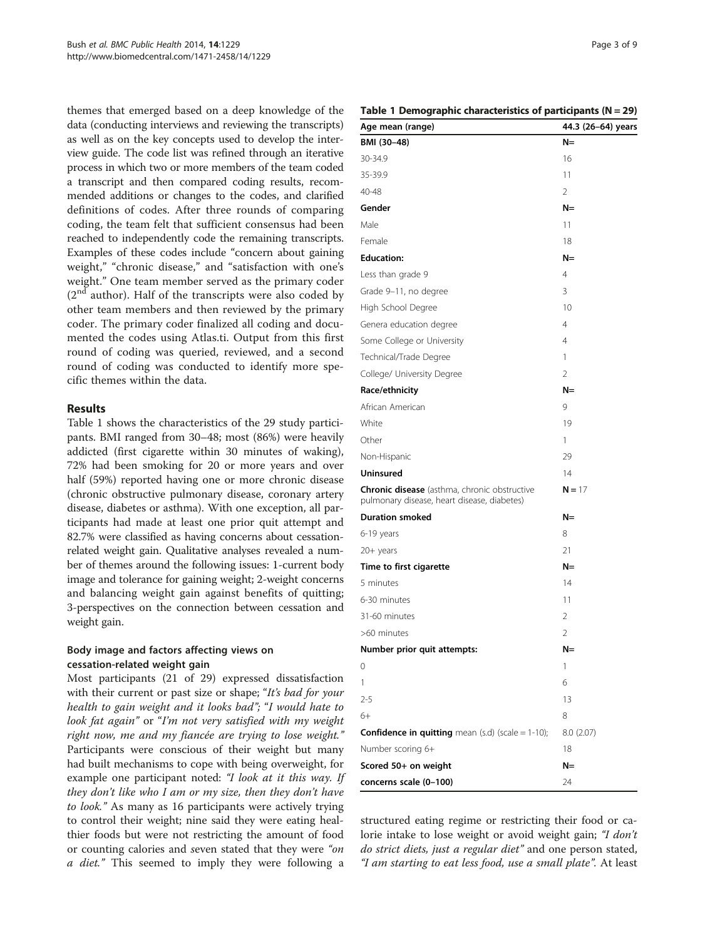themes that emerged based on a deep knowledge of the data (conducting interviews and reviewing the transcripts) as well as on the key concepts used to develop the interview guide. The code list was refined through an iterative process in which two or more members of the team coded a transcript and then compared coding results, recommended additions or changes to the codes, and clarified definitions of codes. After three rounds of comparing coding, the team felt that sufficient consensus had been reached to independently code the remaining transcripts. Examples of these codes include "concern about gaining weight," "chronic disease," and "satisfaction with one's weight." One team member served as the primary coder  $(2<sup>nd</sup> author)$ . Half of the transcripts were also coded by other team members and then reviewed by the primary coder. The primary coder finalized all coding and documented the codes using Atlas.ti. Output from this first round of coding was queried, reviewed, and a second round of coding was conducted to identify more specific themes within the data.

## Results

Table 1 shows the characteristics of the 29 study participants. BMI ranged from 30–48; most (86%) were heavily addicted (first cigarette within 30 minutes of waking), 72% had been smoking for 20 or more years and over half (59%) reported having one or more chronic disease (chronic obstructive pulmonary disease, coronary artery disease, diabetes or asthma). With one exception, all participants had made at least one prior quit attempt and 82.7% were classified as having concerns about cessationrelated weight gain. Qualitative analyses revealed a number of themes around the following issues: 1-current body image and tolerance for gaining weight; 2-weight concerns and balancing weight gain against benefits of quitting; 3-perspectives on the connection between cessation and weight gain.

## Body image and factors affecting views on cessation-related weight gain

Most participants (21 of 29) expressed dissatisfaction with their current or past size or shape; "It's bad for your health to gain weight and it looks bad"; "I would hate to look fat again" or "I'm not very satisfied with my weight right now, me and my fiancée are trying to lose weight." Participants were conscious of their weight but many had built mechanisms to cope with being overweight, for example one participant noted: "I look at it this way. If they don't like who I am or my size, then they don't have to look." As many as 16 participants were actively trying to control their weight; nine said they were eating healthier foods but were not restricting the amount of food or counting calories and seven stated that they were "on a diet." This seemed to imply they were following a

| Page 3 of 9 |  |  |  |
|-------------|--|--|--|
|-------------|--|--|--|

|  | Table 1 Demographic characteristics of participants ( $N = 29$ ) |  |  |  |
|--|------------------------------------------------------------------|--|--|--|
|--|------------------------------------------------------------------|--|--|--|

| Age mean (range)                                                                                   | 44.3 (26-64) years |
|----------------------------------------------------------------------------------------------------|--------------------|
| BMI (30-48)                                                                                        | $N =$              |
| 30-34.9                                                                                            | 16                 |
| 35-39.9                                                                                            | 11                 |
| 40-48                                                                                              | 2                  |
| Gender                                                                                             | $N =$              |
| Male                                                                                               | 11                 |
| Female                                                                                             | 18                 |
| <b>Education:</b>                                                                                  | $N =$              |
| Less than grade 9                                                                                  | $\overline{4}$     |
| Grade 9-11, no degree                                                                              | 3                  |
| High School Degree                                                                                 | 10                 |
| Genera education degree                                                                            | $\overline{4}$     |
| Some College or University                                                                         | $\overline{4}$     |
| Technical/Trade Degree                                                                             | 1                  |
| College/ University Degree                                                                         | 2                  |
| Race/ethnicity                                                                                     | $N =$              |
| African American                                                                                   | 9                  |
| White                                                                                              | 19                 |
| Other                                                                                              | 1                  |
| Non-Hispanic                                                                                       | 29                 |
| <b>Uninsured</b>                                                                                   | 14                 |
| <b>Chronic disease</b> (asthma, chronic obstructive<br>pulmonary disease, heart disease, diabetes) | $N = 17$           |
| <b>Duration smoked</b>                                                                             | $N =$              |
| 6-19 years                                                                                         | 8                  |
| 20+ years                                                                                          | 21                 |
| Time to first cigarette                                                                            | $N =$              |
| 5 minutes                                                                                          | 14                 |
| 6-30 minutes                                                                                       | 11                 |
| 31-60 minutes                                                                                      | 2                  |
| >60 minutes                                                                                        | 2                  |
| Number prior quit attempts:                                                                        | $N =$              |
| 0                                                                                                  | 1                  |
| 1                                                                                                  | 6                  |
| $2 - 5$                                                                                            | 13                 |
| $6+$                                                                                               | 8                  |
| <b>Confidence in quitting</b> mean $(s.d)$ (scale = 1-10);                                         | 8.0 (2.07)         |
| Number scoring 6+                                                                                  | 18                 |
| Scored 50+ on weight                                                                               | N=                 |
| concerns scale (0-100)                                                                             | 24                 |

structured eating regime or restricting their food or calorie intake to lose weight or avoid weight gain; "I don't do strict diets, just a regular diet" and one person stated, "I am starting to eat less food, use a small plate". At least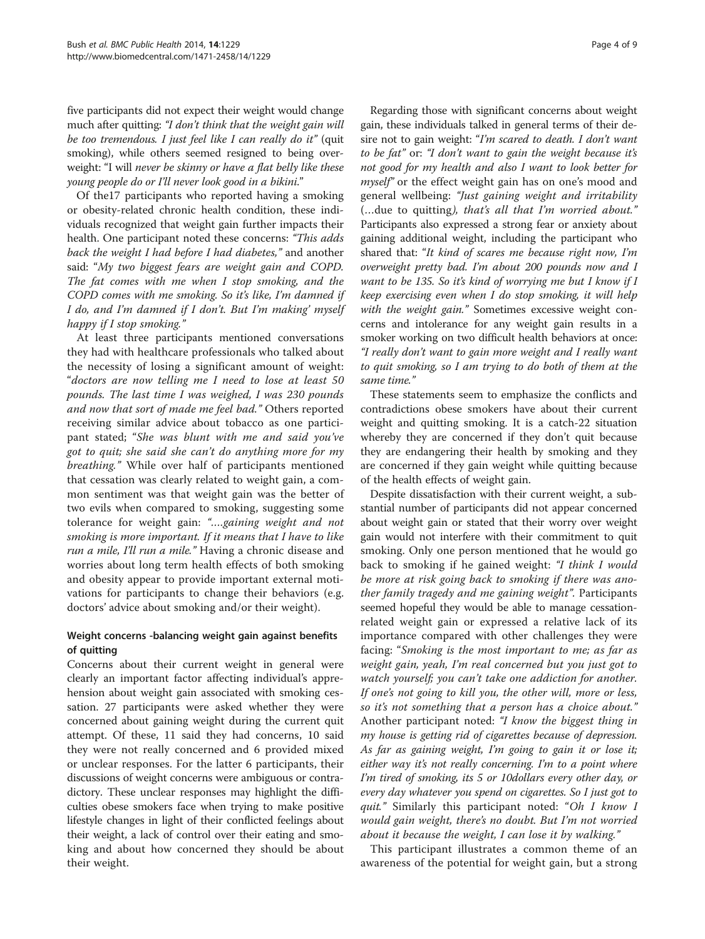five participants did not expect their weight would change much after quitting: "I don't think that the weight gain will be too tremendous. I just feel like I can really do it" (quit smoking), while others seemed resigned to being overweight: "I will never be skinny or have a flat belly like these young people do or I'll never look good in a bikini."

Of the17 participants who reported having a smoking or obesity-related chronic health condition, these individuals recognized that weight gain further impacts their health. One participant noted these concerns: "This adds back the weight I had before I had diabetes," and another said: "My two biggest fears are weight gain and COPD. The fat comes with me when I stop smoking, and the COPD comes with me smoking. So it's like, I'm damned if I do, and I'm damned if I don't. But I'm making' myself happy if I stop smoking."

At least three participants mentioned conversations they had with healthcare professionals who talked about the necessity of losing a significant amount of weight: "doctors are now telling me I need to lose at least 50 pounds. The last time I was weighed, I was 230 pounds and now that sort of made me feel bad." Others reported receiving similar advice about tobacco as one participant stated; "She was blunt with me and said you've got to quit; she said she can't do anything more for my breathing." While over half of participants mentioned that cessation was clearly related to weight gain, a common sentiment was that weight gain was the better of two evils when compared to smoking, suggesting some tolerance for weight gain: "….gaining weight and not smoking is more important. If it means that I have to like run a mile, I'll run a mile." Having a chronic disease and worries about long term health effects of both smoking and obesity appear to provide important external motivations for participants to change their behaviors (e.g. doctors' advice about smoking and/or their weight).

## Weight concerns -balancing weight gain against benefits of quitting

Concerns about their current weight in general were clearly an important factor affecting individual's apprehension about weight gain associated with smoking cessation. 27 participants were asked whether they were concerned about gaining weight during the current quit attempt. Of these, 11 said they had concerns, 10 said they were not really concerned and 6 provided mixed or unclear responses. For the latter 6 participants, their discussions of weight concerns were ambiguous or contradictory. These unclear responses may highlight the difficulties obese smokers face when trying to make positive lifestyle changes in light of their conflicted feelings about their weight, a lack of control over their eating and smoking and about how concerned they should be about their weight.

Regarding those with significant concerns about weight gain, these individuals talked in general terms of their desire not to gain weight: "I'm scared to death. I don't want to be fat" or: "I don't want to gain the weight because it's not good for my health and also I want to look better for myself" or the effect weight gain has on one's mood and general wellbeing: "Just gaining weight and irritability (…due to quitting), that's all that I'm worried about." Participants also expressed a strong fear or anxiety about gaining additional weight, including the participant who shared that: "It kind of scares me because right now, I'm overweight pretty bad. I'm about 200 pounds now and I want to be 135. So it's kind of worrying me but I know if I keep exercising even when I do stop smoking, it will help with the weight gain." Sometimes excessive weight concerns and intolerance for any weight gain results in a smoker working on two difficult health behaviors at once: "I really don't want to gain more weight and I really want to quit smoking, so I am trying to do both of them at the same time."

These statements seem to emphasize the conflicts and contradictions obese smokers have about their current weight and quitting smoking. It is a catch-22 situation whereby they are concerned if they don't quit because they are endangering their health by smoking and they are concerned if they gain weight while quitting because of the health effects of weight gain.

Despite dissatisfaction with their current weight, a substantial number of participants did not appear concerned about weight gain or stated that their worry over weight gain would not interfere with their commitment to quit smoking. Only one person mentioned that he would go back to smoking if he gained weight: "I think I would be more at risk going back to smoking if there was another family tragedy and me gaining weight". Participants seemed hopeful they would be able to manage cessationrelated weight gain or expressed a relative lack of its importance compared with other challenges they were facing: "Smoking is the most important to me; as far as weight gain, yeah, I'm real concerned but you just got to watch yourself; you can't take one addiction for another. If one's not going to kill you, the other will, more or less, so it's not something that a person has a choice about." Another participant noted: "I know the biggest thing in my house is getting rid of cigarettes because of depression. As far as gaining weight, I'm going to gain it or lose it; either way it's not really concerning. I'm to a point where I'm tired of smoking, its 5 or 10dollars every other day, or every day whatever you spend on cigarettes. So I just got to quit." Similarly this participant noted: "Oh I know I would gain weight, there's no doubt. But I'm not worried about it because the weight, I can lose it by walking."

This participant illustrates a common theme of an awareness of the potential for weight gain, but a strong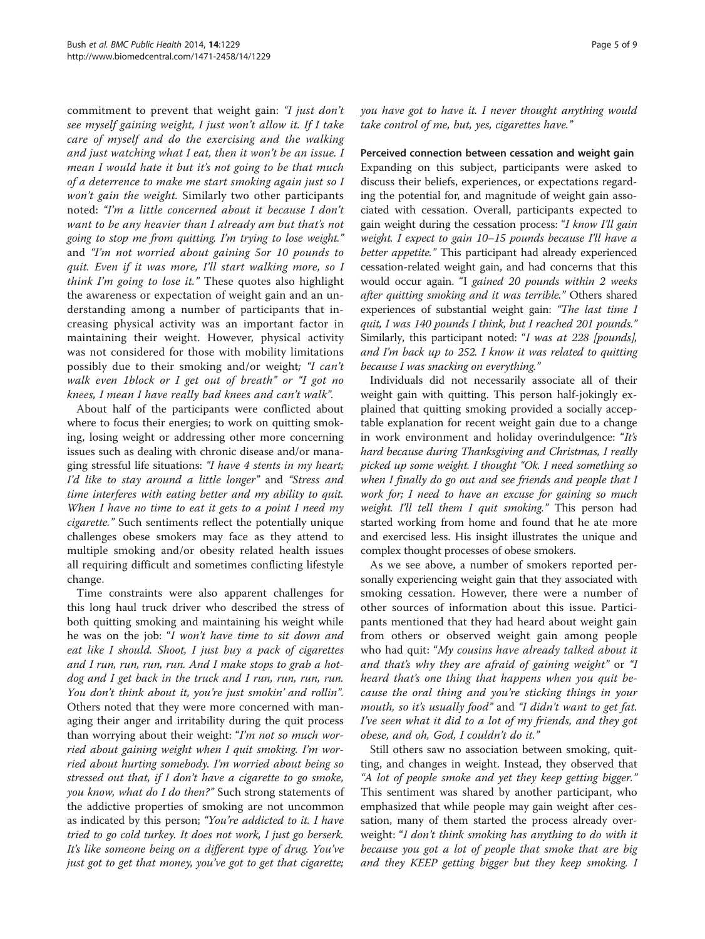commitment to prevent that weight gain: "I just don't see myself gaining weight, I just won't allow it. If I take care of myself and do the exercising and the walking and just watching what I eat, then it won't be an issue. I mean I would hate it but it's not going to be that much of a deterrence to make me start smoking again just so I won't gain the weight. Similarly two other participants noted: "I'm a little concerned about it because I don't want to be any heavier than I already am but that's not going to stop me from quitting. I'm trying to lose weight." and "I'm not worried about gaining 5or 10 pounds to quit. Even if it was more, I'll start walking more, so I think I'm going to lose it." These quotes also highlight the awareness or expectation of weight gain and an understanding among a number of participants that increasing physical activity was an important factor in maintaining their weight. However, physical activity was not considered for those with mobility limitations possibly due to their smoking and/or weight; "I can't walk even 1block or I get out of breath" or "I got no knees, I mean I have really bad knees and can't walk".

About half of the participants were conflicted about where to focus their energies; to work on quitting smoking, losing weight or addressing other more concerning issues such as dealing with chronic disease and/or managing stressful life situations: "I have 4 stents in my heart; I'd like to stay around a little longer" and "Stress and time interferes with eating better and my ability to quit. When I have no time to eat it gets to a point I need my cigarette." Such sentiments reflect the potentially unique challenges obese smokers may face as they attend to multiple smoking and/or obesity related health issues all requiring difficult and sometimes conflicting lifestyle change.

Time constraints were also apparent challenges for this long haul truck driver who described the stress of both quitting smoking and maintaining his weight while he was on the job: "I won't have time to sit down and eat like I should. Shoot, I just buy a pack of cigarettes and I run, run, run, run. And I make stops to grab a hotdog and I get back in the truck and I run, run, run, run. You don't think about it, you're just smokin' and rollin". Others noted that they were more concerned with managing their anger and irritability during the quit process than worrying about their weight: "I'm not so much worried about gaining weight when I quit smoking. I'm worried about hurting somebody. I'm worried about being so stressed out that, if I don't have a cigarette to go smoke, you know, what do I do then?" Such strong statements of the addictive properties of smoking are not uncommon as indicated by this person; "You're addicted to it. I have tried to go cold turkey. It does not work, I just go berserk. It's like someone being on a different type of drug. You've just got to get that money, you've got to get that cigarette;

you have got to have it. I never thought anything would take control of me, but, yes, cigarettes have."

Perceived connection between cessation and weight gain Expanding on this subject, participants were asked to discuss their beliefs, experiences, or expectations regarding the potential for, and magnitude of weight gain associated with cessation. Overall, participants expected to gain weight during the cessation process: "I know I'll gain weight. I expect to gain 10–15 pounds because I'll have a better appetite." This participant had already experienced cessation-related weight gain, and had concerns that this would occur again. "I gained 20 pounds within 2 weeks after quitting smoking and it was terrible." Others shared experiences of substantial weight gain: "The last time I quit, I was 140 pounds I think, but I reached 201 pounds." Similarly, this participant noted: "I was at 228 [pounds], and I'm back up to 252. I know it was related to quitting because I was snacking on everything."

Individuals did not necessarily associate all of their weight gain with quitting. This person half-jokingly explained that quitting smoking provided a socially acceptable explanation for recent weight gain due to a change in work environment and holiday overindulgence: "It's hard because during Thanksgiving and Christmas, I really picked up some weight. I thought "Ok. I need something so when I finally do go out and see friends and people that I work for; I need to have an excuse for gaining so much weight. I'll tell them I quit smoking." This person had started working from home and found that he ate more and exercised less. His insight illustrates the unique and complex thought processes of obese smokers.

As we see above, a number of smokers reported personally experiencing weight gain that they associated with smoking cessation. However, there were a number of other sources of information about this issue. Participants mentioned that they had heard about weight gain from others or observed weight gain among people who had quit: "My cousins have already talked about it and that's why they are afraid of gaining weight" or "I heard that's one thing that happens when you quit because the oral thing and you're sticking things in your mouth, so it's usually food" and "I didn't want to get fat. I've seen what it did to a lot of my friends, and they got obese, and oh, God, I couldn't do it."

Still others saw no association between smoking, quitting, and changes in weight. Instead, they observed that "A lot of people smoke and yet they keep getting bigger." This sentiment was shared by another participant, who emphasized that while people may gain weight after cessation, many of them started the process already overweight: "I don't think smoking has anything to do with it because you got a lot of people that smoke that are big and they KEEP getting bigger but they keep smoking. I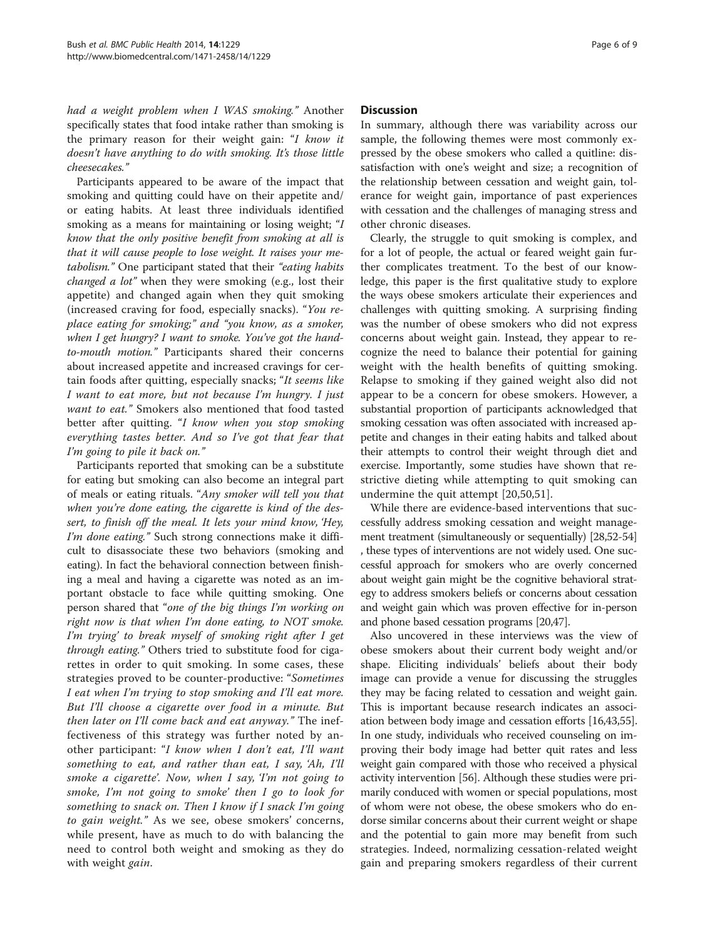had a weight problem when I WAS smoking." Another specifically states that food intake rather than smoking is the primary reason for their weight gain: "I know it doesn't have anything to do with smoking. It's those little cheesecakes."

Participants appeared to be aware of the impact that smoking and quitting could have on their appetite and/ or eating habits. At least three individuals identified smoking as a means for maintaining or losing weight; "I know that the only positive benefit from smoking at all is that it will cause people to lose weight. It raises your metabolism." One participant stated that their "eating habits changed a lot" when they were smoking (e.g., lost their appetite) and changed again when they quit smoking (increased craving for food, especially snacks). "You replace eating for smoking;" and "you know, as a smoker, when I get hungry? I want to smoke. You've got the handto-mouth motion." Participants shared their concerns about increased appetite and increased cravings for certain foods after quitting, especially snacks; "It seems like I want to eat more, but not because I'm hungry. I just want to eat." Smokers also mentioned that food tasted better after quitting. "I know when you stop smoking everything tastes better. And so I've got that fear that I'm going to pile it back on."

Participants reported that smoking can be a substitute for eating but smoking can also become an integral part of meals or eating rituals. "Any smoker will tell you that when you're done eating, the cigarette is kind of the dessert, to finish off the meal. It lets your mind know, 'Hey, I'm done eating." Such strong connections make it difficult to disassociate these two behaviors (smoking and eating). In fact the behavioral connection between finishing a meal and having a cigarette was noted as an important obstacle to face while quitting smoking. One person shared that "one of the big things I'm working on right now is that when I'm done eating, to NOT smoke. I'm trying' to break myself of smoking right after I get through eating." Others tried to substitute food for cigarettes in order to quit smoking. In some cases, these strategies proved to be counter-productive: "Sometimes I eat when I'm trying to stop smoking and I'll eat more. But I'll choose a cigarette over food in a minute. But then later on I'll come back and eat anyway." The ineffectiveness of this strategy was further noted by another participant: "I know when I don't eat, I'll want something to eat, and rather than eat, I say, 'Ah, I'll smoke a cigarette'. Now, when I say, 'I'm not going to smoke, I'm not going to smoke' then I go to look for something to snack on. Then I know if I snack I'm going to gain weight." As we see, obese smokers' concerns, while present, have as much to do with balancing the need to control both weight and smoking as they do with weight *gain*.

#### **Discussion**

In summary, although there was variability across our sample, the following themes were most commonly expressed by the obese smokers who called a quitline: dissatisfaction with one's weight and size; a recognition of the relationship between cessation and weight gain, tolerance for weight gain, importance of past experiences with cessation and the challenges of managing stress and other chronic diseases.

Clearly, the struggle to quit smoking is complex, and for a lot of people, the actual or feared weight gain further complicates treatment. To the best of our knowledge, this paper is the first qualitative study to explore the ways obese smokers articulate their experiences and challenges with quitting smoking. A surprising finding was the number of obese smokers who did not express concerns about weight gain. Instead, they appear to recognize the need to balance their potential for gaining weight with the health benefits of quitting smoking. Relapse to smoking if they gained weight also did not appear to be a concern for obese smokers. However, a substantial proportion of participants acknowledged that smoking cessation was often associated with increased appetite and changes in their eating habits and talked about their attempts to control their weight through diet and exercise. Importantly, some studies have shown that restrictive dieting while attempting to quit smoking can undermine the quit attempt [\[20](#page-7-0)[,50](#page-8-0),[51\]](#page-8-0).

While there are evidence-based interventions that successfully address smoking cessation and weight management treatment (simultaneously or sequentially) [\[28,](#page-7-0)[52-54](#page-8-0)] , these types of interventions are not widely used. One successful approach for smokers who are overly concerned about weight gain might be the cognitive behavioral strategy to address smokers beliefs or concerns about cessation and weight gain which was proven effective for in-person and phone based cessation programs [[20,47\]](#page-7-0).

Also uncovered in these interviews was the view of obese smokers about their current body weight and/or shape. Eliciting individuals' beliefs about their body image can provide a venue for discussing the struggles they may be facing related to cessation and weight gain. This is important because research indicates an association between body image and cessation efforts [\[16,43,](#page-7-0)[55](#page-8-0)]. In one study, individuals who received counseling on improving their body image had better quit rates and less weight gain compared with those who received a physical activity intervention [[56](#page-8-0)]. Although these studies were primarily conduced with women or special populations, most of whom were not obese, the obese smokers who do endorse similar concerns about their current weight or shape and the potential to gain more may benefit from such strategies. Indeed, normalizing cessation-related weight gain and preparing smokers regardless of their current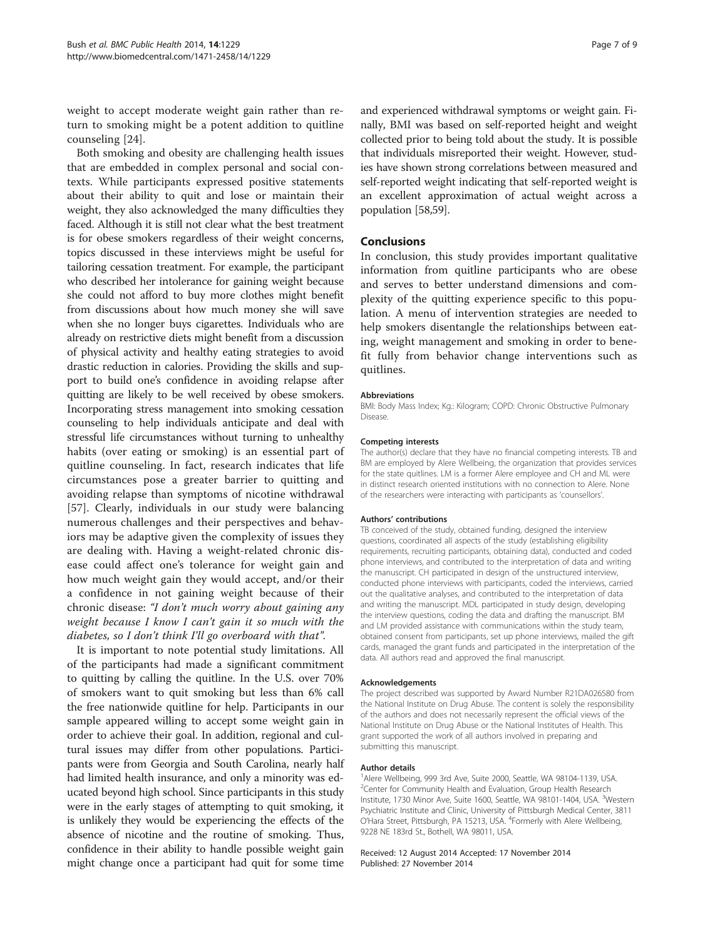weight to accept moderate weight gain rather than return to smoking might be a potent addition to quitline counseling [\[24](#page-7-0)].

Both smoking and obesity are challenging health issues that are embedded in complex personal and social contexts. While participants expressed positive statements about their ability to quit and lose or maintain their weight, they also acknowledged the many difficulties they faced. Although it is still not clear what the best treatment is for obese smokers regardless of their weight concerns, topics discussed in these interviews might be useful for tailoring cessation treatment. For example, the participant who described her intolerance for gaining weight because she could not afford to buy more clothes might benefit from discussions about how much money she will save when she no longer buys cigarettes. Individuals who are already on restrictive diets might benefit from a discussion of physical activity and healthy eating strategies to avoid drastic reduction in calories. Providing the skills and support to build one's confidence in avoiding relapse after quitting are likely to be well received by obese smokers. Incorporating stress management into smoking cessation counseling to help individuals anticipate and deal with stressful life circumstances without turning to unhealthy habits (over eating or smoking) is an essential part of quitline counseling. In fact, research indicates that life circumstances pose a greater barrier to quitting and avoiding relapse than symptoms of nicotine withdrawal [[57\]](#page-8-0). Clearly, individuals in our study were balancing numerous challenges and their perspectives and behaviors may be adaptive given the complexity of issues they are dealing with. Having a weight-related chronic disease could affect one's tolerance for weight gain and how much weight gain they would accept, and/or their a confidence in not gaining weight because of their chronic disease: "I don't much worry about gaining any weight because I know I can't gain it so much with the diabetes, so I don't think I'll go overboard with that".

It is important to note potential study limitations. All of the participants had made a significant commitment to quitting by calling the quitline. In the U.S. over 70% of smokers want to quit smoking but less than 6% call the free nationwide quitline for help. Participants in our sample appeared willing to accept some weight gain in order to achieve their goal. In addition, regional and cultural issues may differ from other populations. Participants were from Georgia and South Carolina, nearly half had limited health insurance, and only a minority was educated beyond high school. Since participants in this study were in the early stages of attempting to quit smoking, it is unlikely they would be experiencing the effects of the absence of nicotine and the routine of smoking. Thus, confidence in their ability to handle possible weight gain might change once a participant had quit for some time

and experienced withdrawal symptoms or weight gain. Finally, BMI was based on self-reported height and weight collected prior to being told about the study. It is possible that individuals misreported their weight. However, studies have shown strong correlations between measured and self-reported weight indicating that self-reported weight is an excellent approximation of actual weight across a population [[58,59\]](#page-8-0).

#### Conclusions

In conclusion, this study provides important qualitative information from quitline participants who are obese and serves to better understand dimensions and complexity of the quitting experience specific to this population. A menu of intervention strategies are needed to help smokers disentangle the relationships between eating, weight management and smoking in order to benefit fully from behavior change interventions such as quitlines.

#### Abbreviations

BMI: Body Mass Index; Kg.: Kilogram; COPD: Chronic Obstructive Pulmonary Disease.

#### Competing interests

The author(s) declare that they have no financial competing interests. TB and BM are employed by Alere Wellbeing, the organization that provides services for the state quitlines. LM is a former Alere employee and CH and ML were in distinct research oriented institutions with no connection to Alere. None of the researchers were interacting with participants as 'counsellors'.

#### Authors' contributions

TB conceived of the study, obtained funding, designed the interview questions, coordinated all aspects of the study (establishing eligibility requirements, recruiting participants, obtaining data), conducted and coded phone interviews, and contributed to the interpretation of data and writing the manuscript. CH participated in design of the unstructured interview, conducted phone interviews with participants, coded the interviews, carried out the qualitative analyses, and contributed to the interpretation of data and writing the manuscript. MDL participated in study design, developing the interview questions, coding the data and drafting the manuscript. BM and LM provided assistance with communications within the study team, obtained consent from participants, set up phone interviews, mailed the gift cards, managed the grant funds and participated in the interpretation of the data. All authors read and approved the final manuscript.

#### Acknowledgements

The project described was supported by Award Number R21DA026580 from the National Institute on Drug Abuse. The content is solely the responsibility of the authors and does not necessarily represent the official views of the National Institute on Drug Abuse or the National Institutes of Health. This grant supported the work of all authors involved in preparing and submitting this manuscript.

#### Author details

<sup>1</sup> Alere Wellbeing, 999 3rd Ave, Suite 2000, Seattle, WA 98104-1139, USA <sup>2</sup> Center for Community Health and Evaluation, Group Health Research Institute, 1730 Minor Ave, Suite 1600, Seattle, WA 98101-1404, USA. <sup>3</sup>Western Psychiatric Institute and Clinic, University of Pittsburgh Medical Center, 3811 O'Hara Street, Pittsburgh, PA 15213, USA. <sup>4</sup>Formerly with Alere Wellbeing, 9228 NE 183rd St., Bothell, WA 98011, USA.

#### Received: 12 August 2014 Accepted: 17 November 2014 Published: 27 November 2014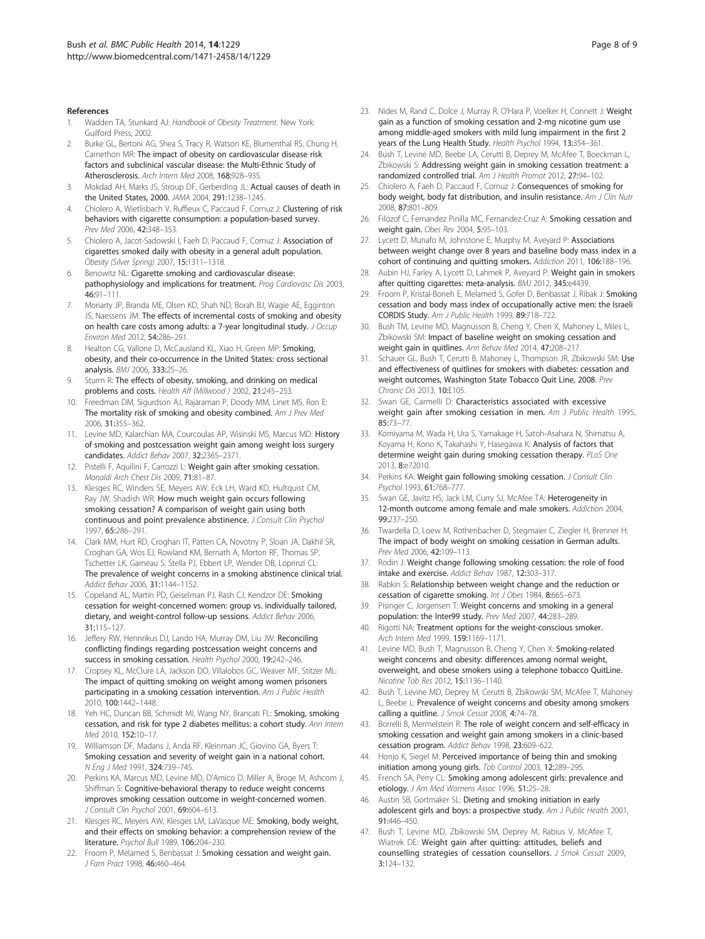#### <span id="page-7-0"></span>References

- Wadden TA, Stunkard AJ: Handbook of Obesity Treatment. New York: Guilford Press; 2002.
- 2. Burke GL, Bertoni AG, Shea S, Tracy R, Watson KE, Blumenthal RS, Chung H, Carnethon MR: The impact of obesity on cardiovascular disease risk factors and subclinical vascular disease: the Multi-Ethnic Study of Atherosclerosis. Arch Intern Med 2008, 168:928–935.
- 3. Mokdad AH, Marks JS, Stroup DF, Gerberding JL: Actual causes of death in the United States, 2000. JAMA 2004, 291:1238–1245.
- Chiolero A, Wietlisbach V, Ruffieux C, Paccaud F, Cornuz J: Clustering of risk behaviors with cigarette consumption: a population-based survey. Prev Med 2006, 42:348–353.
- Chiolero A, Jacot-Sadowski I, Faeh D, Paccaud F, Cornuz J: Association of cigarettes smoked daily with obesity in a general adult population. Obesity (Silver Spring) 2007, 15:1311–1318.
- 6. Benowitz NL: Cigarette smoking and cardiovascular disease: pathophysiology and implications for treatment. Prog Cardiovasc Dis 2003, 46:91–111.
- 7. Moriarty JP, Branda ME, Olsen KD, Shah ND, Borah BJ, Wagie AE, Egginton JS, Naessens JM: The effects of incremental costs of smoking and obesity on health care costs among adults: a 7-year longitudinal study. J Occup Environ Med 2012, 54:286–291.
- 8. Healton CG, Vallone D, McCausland KL, Xiao H, Green MP: Smoking, obesity, and their co-occurrence in the United States: cross sectional analysis. BMJ 2006, 333:25–26.
- Sturm R: The effects of obesity, smoking, and drinking on medical problems and costs. Health Aff (Millwood ) 2002, 21:245–253.
- 10. Freedman DM, Sigurdson AJ, Rajaraman P, Doody MM, Linet MS, Ron E: The mortality risk of smoking and obesity combined. Am J Prev Med 2006, 31:355–362.
- 11. Levine MD, Kalarchian MA, Courcoulas AP, Wisinski MS, Marcus MD: History of smoking and postcessation weight gain among weight loss surgery candidates. Addict Behav 2007, 32:2365–2371.
- 12. Pistelli F, Aquilini F, Carrozzi L: Weight gain after smoking cessation. Monaldi Arch Chest Dis 2009, 71:81–87.
- 13. Klesges RC, Winders SE, Meyers AW, Eck LH, Ward KD, Hultquist CM, Ray JW, Shadish WR: How much weight gain occurs following smoking cessation? A comparison of weight gain using both continuous and point prevalence abstinence. J Consult Clin Psychol 1997, 65:286–291.
- 14. Clark MM, Hurt RD, Croghan IT, Patten CA, Novotny P, Sloan JA, Dakhil SR, Croghan GA, Wos EJ, Rowland KM, Bernath A, Morton RF, Thomas SP, Tschetter LK, Garneau S, Stella PJ, Ebbert LP, Wender DB, Loprinzi CL: The prevalence of weight concerns in a smoking abstinence clinical trial. Addict Behav 2006, 31:1144–1152.
- 15. Copeland AL, Martin PD, Geiselman PJ, Rash CJ, Kendzor DE: Smoking cessation for weight-concerned women: group vs. individually tailored, dietary, and weight-control follow-up sessions. Addict Behav 2006, 31:115–127.
- 16. Jeffery RW, Hennrikus DJ, Lando HA, Murray DM, Liu JW: Reconciling conflicting findings regarding postcessation weight concerns and success in smoking cessation. Health Psychol 2000, 19:242–246.
- 17. Cropsey KL, McClure LA, Jackson DO, Villalobos GC, Weaver MF, Stitzer ML: The impact of quitting smoking on weight among women prisoners participating in a smoking cessation intervention. Am J Public Health 2010, 100:1442–1448.
- 18. Yeh HC, Duncan BB, Schmidt MI, Wang NY, Brancati FL: Smoking, smoking cessation, and risk for type 2 diabetes mellitus: a cohort study. Ann Intern Med 2010, 152:10–17.
- 19. Williamson DF, Madans J, Anda RF, Kleinman JC, Giovino GA, Byers T: Smoking cessation and severity of weight gain in a national cohort. N Eng J Med 1991, 324:739–745.
- 20. Perkins KA, Marcus MD, Levine MD, D'Amico D, Miller A, Broge M, Ashcom J, Shiffman S: Cognitive-behavioral therapy to reduce weight concerns improves smoking cessation outcome in weight-concerned women. J Consult Clin Psychol 2001, 69:604–613.
- 21. Klesges RC, Meyers AW, Klesges LM, LaVasque ME: Smoking, body weight, and their effects on smoking behavior: a comprehension review of the literature. Psychol Bull 1989, 106:204–230.
- 22. Froom P, Melamed S, Benbassat J: Smoking cessation and weight gain. J Fam Pract 1998, 46:460–464.
- 23. Nides M, Rand C, Dolce J, Murray R, O'Hara P, Voelker H, Connett J: Weight gain as a function of smoking cessation and 2-mg nicotine gum use among middle-aged smokers with mild lung impairment in the first 2 years of the Lung Health Study. Health Psychol 1994, 13:354–361.
- 24. Bush T, Levine MD, Beebe LA, Cerutti B, Deprey M, McAfee T, Boeckman L, Zbikowski S: Addressing weight gain in smoking cessation treatment: a randomized controlled trial. Am J Health Promot 2012, 27:94–102.
- Chiolero A, Faeh D, Paccaud F, Cornuz J: Consequences of smoking for body weight, body fat distribution, and insulin resistance. Am J Clin Nutr 2008, 87:801–809.
- 26. Filozof C, Fernandez Pinilla MC, Fernandez-Cruz A: Smoking cessation and weight gain. Obes Rev 2004, 5:95–103.
- 27. Lycett D, Munafo M, Johnstone E, Murphy M, Aveyard P: Associations between weight change over 8 years and baseline body mass index in a cohort of continuing and quitting smokers. Addiction 2011, 106:188–196.
- 28. Aubin HJ, Farley A, Lycett D, Lahmek P, Aveyard P: Weight gain in smokers after quitting cigarettes: meta-analysis. BMJ 2012, 345:e4439
- 29. Froom P, Kristal-Boneh E, Melamed S, Gofer D, Benbassat J, Ribak J: Smoking cessation and body mass index of occupationally active men: the Israeli CORDIS Study. Am J Public Health 1999, 89:718–722.
- 30. Bush TM, Levine MD, Magnusson B, Cheng Y, Chen X, Mahoney L, Miles L, Zbikowski SM: Impact of baseline weight on smoking cessation and weight gain in quitlines. Ann Behav Med 2014, 47:208–217.
- 31. Schauer GL, Bush T, Cerutti B, Mahoney L, Thompson JR, Zbikowski SM: Use and effectiveness of quitlines for smokers with diabetes: cessation and weight outcomes, Washington State Tobacco Quit Line, 2008. Prev Chronic Dis 2013, 10:E105.
- 32. Swan GE, Carmelli D: Characteristics associated with excessive weight gain after smoking cessation in men. Am J Public Health 1995, 85:73–77.
- 33. Komiyama M, Wada H, Ura S, Yamakage H, Satoh-Asahara N, Shimatsu A, Koyama H, Kono K, Takahashi Y, Hasegawa K: Analysis of factors that determine weight gain during smoking cessation therapy. PLoS One 2013, 8:e72010.
- 34. Perkins KA: Weight gain following smoking cessation. J Consult Clin Psychol 1993, 61:768-777
- 35. Swan GE, Javitz HS, Jack LM, Curry SJ, McAfee TA: Heterogeneity in 12-month outcome among female and male smokers. Addiction 2004, 99:237–250.
- 36. Twardella D, Loew M, Rothenbacher D, Stegmaier C, Ziegler H, Brenner H: The impact of body weight on smoking cessation in German adults. Prev Med 2006, 42:109–113.
- 37. Rodin J: Weight change following smoking cessation: the role of food intake and exercise. Addict Behav 1987, 12:303–317.
- 38. Rabkin S: Relationship between weight change and the reduction or cessation of cigarette smoking. Int J Obes 1984, 8:665–673.
- 39. Pisinger C, Jorgensen T: Weight concerns and smoking in a general population: the Inter99 study. Prev Med 2007, 44:283–289.
- 40. Rigotti NA: Treatment options for the weight-conscious smoker. Arch Intern Med 1999, 159:1169–1171.
- 41. Levine MD, Bush T, Magnusson B, Cheng Y, Chen X: Smoking-related weight concerns and obesity: differences among normal weight, overweight, and obese smokers using a telephone tobacco QuitLine. Nicotine Tob Res 2012, 15:1136–1140.
- 42. Bush T, Levine MD, Deprey M, Cerutti B, Zbikowski SM, McAfee T, Mahoney L, Beebe L: Prevalence of weight concerns and obesity among smokers calling a quitline. J Smok Cessat 2008, 4:74-78.
- 43. Borrelli B, Mermelstein R: The role of weight concern and self-efficacy in smoking cessation and weight gain among smokers in a clinic-based cessation program. Addict Behav 1998, 23:609–622.
- Honjo K, Siegel M: Perceived importance of being thin and smoking initiation among young girls. Tob Control 2003, 12:289–295.
- 45. French SA, Perry CL: Smoking among adolescent girls: prevalence and etiology. J Am Med Womens Assoc 1996, 51:25–28.
- 46. Austin SB, Gortmaker SL: Dieting and smoking initiation in early adolescent girls and boys: a prospective study. Am J Public Health 2001, 91:446–450.
- 47. Bush T, Levine MD, Zbikowski SM, Deprey M, Rabius V, McAfee T, Wiatrek DE: Weight gain after quitting: attitudes, beliefs and counselling strategies of cessation counsellors. J Smok Cessat 2009, 3:124–132.